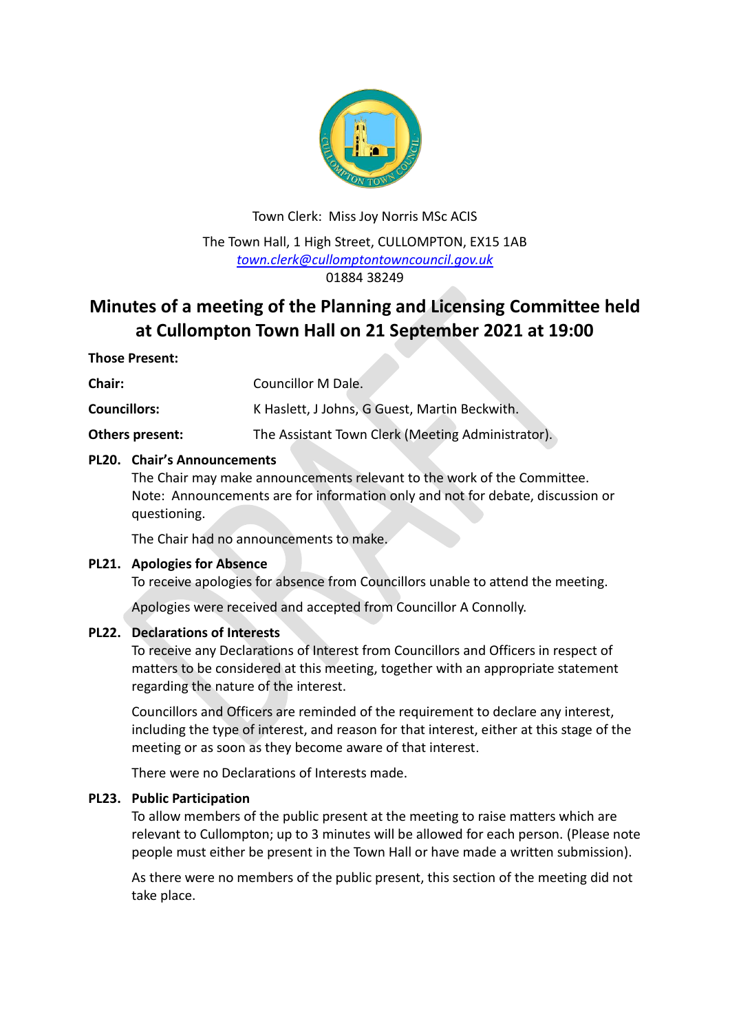

Town Clerk: Miss Joy Norris MSc ACIS The Town Hall, 1 High Street, CULLOMPTON, EX15 1AB *[town.clerk@cullomptontowncouncil.gov.uk](mailto:town.clerk@cullomptontowncouncil.gov.uk)* 01884 38249

# **Minutes of a meeting of the Planning and Licensing Committee held at Cullompton Town Hall on 21 September 2021 at 19:00**

## **Those Present:**

**Chair:** Councillor M Dale.

**Councillors:** K Haslett, J Johns, G Guest, Martin Beckwith.

**Others present:** The Assistant Town Clerk (Meeting Administrator).

## **PL20. Chair's Announcements**

The Chair may make announcements relevant to the work of the Committee. Note: Announcements are for information only and not for debate, discussion or questioning.

The Chair had no announcements to make.

### **PL21. Apologies for Absence**

To receive apologies for absence from Councillors unable to attend the meeting.

Apologies were received and accepted from Councillor A Connolly.

## **PL22. Declarations of Interests**

To receive any Declarations of Interest from Councillors and Officers in respect of matters to be considered at this meeting, together with an appropriate statement regarding the nature of the interest.

Councillors and Officers are reminded of the requirement to declare any interest, including the type of interest, and reason for that interest, either at this stage of the meeting or as soon as they become aware of that interest.

There were no Declarations of Interests made.

### **PL23. Public Participation**

To allow members of the public present at the meeting to raise matters which are relevant to Cullompton; up to 3 minutes will be allowed for each person. (Please note people must either be present in the Town Hall or have made a written submission).

As there were no members of the public present, this section of the meeting did not take place.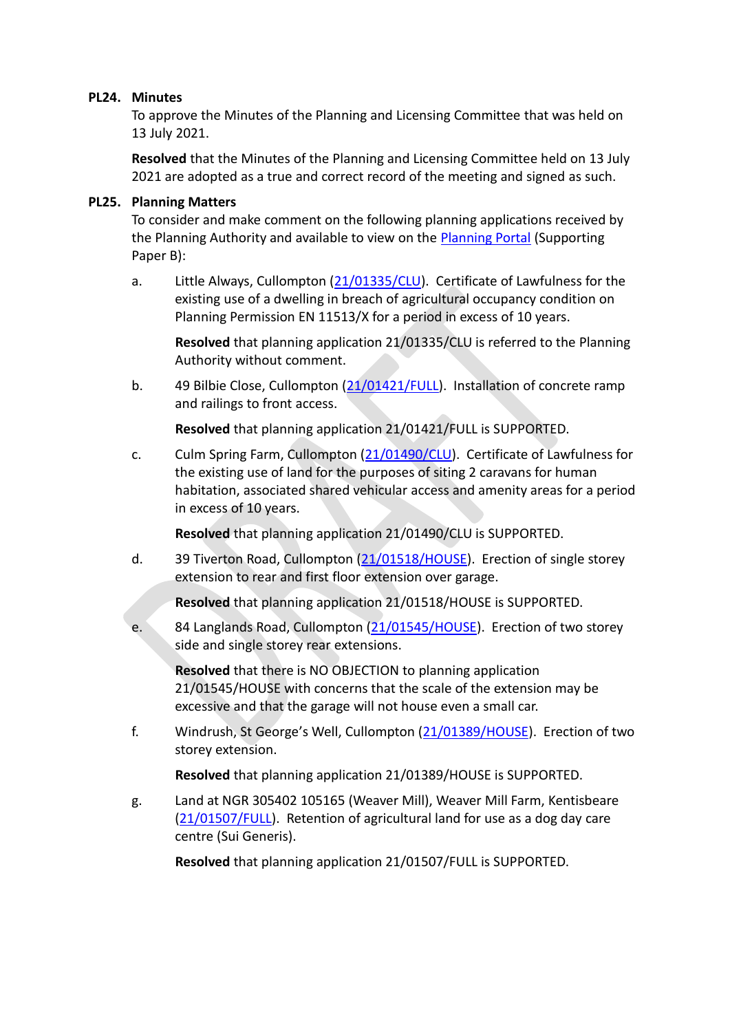## **PL24. Minutes**

To approve the Minutes of the Planning and Licensing Committee that was held on 13 July 2021.

**Resolved** that the Minutes of the Planning and Licensing Committee held on 13 July 2021 are adopted as a true and correct record of the meeting and signed as such.

## **PL25. Planning Matters**

To consider and make comment on the following planning applications received by the Planning Authority and available to view on the [Planning Portal](https://planning.middevon.gov.uk/online-applications/) (Supporting Paper B):

a. Little Always, Cullompton [\(21/01335/CLU\)](https://planning.middevon.gov.uk/online-applications/applicationDetails.do?activeTab=documents&keyVal=QVVDPYKS07T00). Certificate of Lawfulness for the existing use of a dwelling in breach of agricultural occupancy condition on Planning Permission EN 11513/X for a period in excess of 10 years.

**Resolved** that planning application 21/01335/CLU is referred to the Planning Authority without comment.

b. 49 Bilbie Close, Cullompton [\(21/01421/FULL\)](https://planning.middevon.gov.uk/online-applications/applicationDetails.do?activeTab=documents&keyVal=QWJOFKKS02X00). Installation of concrete ramp and railings to front access.

**Resolved** that planning application 21/01421/FULL is SUPPORTED.

c. Culm Spring Farm, Cullompton [\(21/01490/CLU\)](https://planning.middevon.gov.uk/online-applications/applicationDetails.do?activeTab=documents&keyVal=QWZXKEKS07T00). Certificate of Lawfulness for the existing use of land for the purposes of siting 2 caravans for human habitation, associated shared vehicular access and amenity areas for a period in excess of 10 years.

**Resolved** that planning application 21/01490/CLU is SUPPORTED.

d. 39 Tiverton Road, Cullompton [\(21/01518/HOUSE\)](https://planning.middevon.gov.uk/online-applications/applicationDetails.do?activeTab=documents&keyVal=QX7N6WKS05K00). Erection of single storey extension to rear and first floor extension over garage.

**Resolved** that planning application 21/01518/HOUSE is SUPPORTED.

e. 84 Langlands Road, Cullompton [\(21/01545/HOUSE\)](https://planning.middevon.gov.uk/online-applications/applicationDetails.do?activeTab=documents&keyVal=QXB48KKS07T00). Erection of two storey side and single storey rear extensions.

**Resolved** that there is NO OBJECTION to planning application 21/01545/HOUSE with concerns that the scale of the extension may be excessive and that the garage will not house even a small car.

f. Windrush, St George's Well, Cullompton [\(21/01389/HOUSE\)](https://planning.middevon.gov.uk/online-applications/applicationDetails.do?activeTab=documents&keyVal=QW6KGAKS07T00). Erection of two storey extension.

**Resolved** that planning application 21/01389/HOUSE is SUPPORTED.

g. Land at NGR 305402 105165 (Weaver Mill), Weaver Mill Farm, Kentisbeare [\(21/01507/FULL\)](https://planning.middevon.gov.uk/online-applications/applicationDetails.do?activeTab=documents&keyVal=QX23JEKS07T00). Retention of agricultural land for use as a dog day care centre (Sui Generis).

**Resolved** that planning application 21/01507/FULL is SUPPORTED.